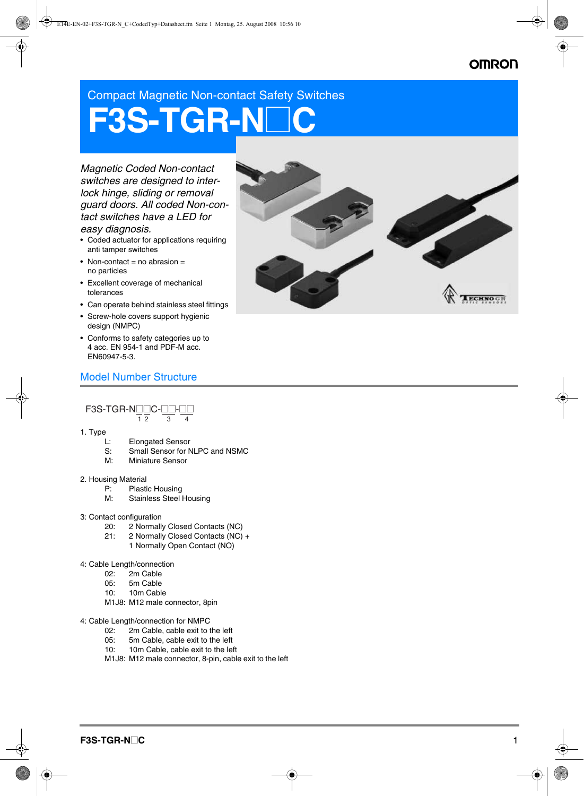## **OMRON**

Compact Magnetic Non-contact Safety Switches

# **F3S-TGR-N**@**C**

*Magnetic Coded Non-contact switches are designed to interlock hinge, sliding or removal guard doors. All coded Non-contact switches have a LED for easy diagnosis.*

- Coded actuator for applications requiring anti tamper switches
- Non-contact = no abrasion = no particles
- Excellent coverage of mechanical tolerances
- Can operate behind stainless steel fittings
- Screw-hole covers support hygienic design (NMPC)
- Conforms to safety categories up to 4 acc. EN 954-1 and PDF-M acc. EN60947-5-3.

#### Model Number Structure

F3S-TGR-NOOC-OO- $\overline{1}$   $\overline{2}$ 

- 1. Type
	- L: Elongated Sensor
	- S: Small Sensor for NLPC and NSMC
	- M: Miniature Sensor
- 2. Housing Material
	- P: Plastic Housing<br>M: Stainless Steel
	- Stainless Steel Housing
- 3: Contact configuration
	- 20: 2 Normally Closed Contacts (NC)
	- 21: 2 Normally Closed Contacts (NC) +
		- 1 Normally Open Contact (NO)
- 4: Cable Length/connection
	- 02: 2m Cable
	- 05: 5m Cable
	- 10: 10m Cable
	- M1J8: M12 male connector, 8pin
- 4: Cable Length/connection for NMPC
	- 02: 2m Cable, cable exit to the left<br>05: 5m Cable, cable exit to the left
	- 5m Cable, cable exit to the left
	- 10: 10m Cable, cable exit to the left
	- M1J8: M12 male connector, 8-pin, cable exit to the left

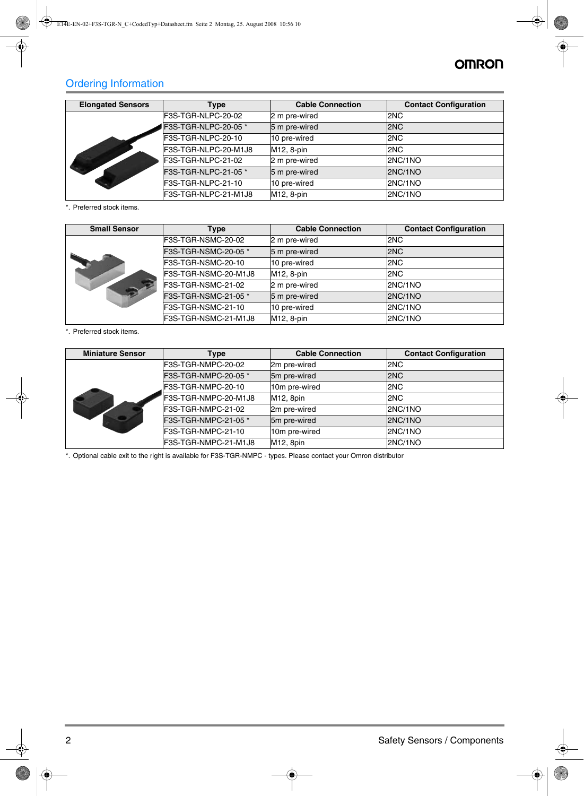## **OMRON**

## Ordering Information

| <b>Elongated Sensors</b><br>Type |                      | <b>Cable Connection</b> | <b>Contact Configuration</b> |
|----------------------------------|----------------------|-------------------------|------------------------------|
|                                  | F3S-TGR-NLPC-20-02   | 2 m pre-wired           | 2NC                          |
|                                  | F3S-TGR-NLPC-20-05 * | 5 m pre-wired           | 2NC                          |
|                                  | F3S-TGR-NLPC-20-10   | 10 pre-wired            | 2NC                          |
|                                  | F3S-TGR-NLPC-20-M1J8 | M12, 8-pin              | 2NC                          |
|                                  | F3S-TGR-NLPC-21-02   | 2 m pre-wired           | 2NC/1NO                      |
|                                  | F3S-TGR-NLPC-21-05 * | 5 m pre-wired           | 2NC/1NO                      |
|                                  | F3S-TGR-NLPC-21-10   | 10 pre-wired            | 2NC/1NO                      |
|                                  | F3S-TGR-NLPC-21-M1J8 | M12, 8-pin              | 2NC/1NO                      |

<span id="page-1-0"></span>\*. Preferred stock items.

| <b>Small Sensor</b> | <b>Type</b>          | <b>Cable Connection</b> | <b>Contact Configuration</b> |
|---------------------|----------------------|-------------------------|------------------------------|
|                     | F3S-TGR-NSMC-20-02   | 2 m pre-wired           | 2NC                          |
|                     | F3S-TGR-NSMC-20-05 * | 5 m pre-wired           | 2NC                          |
|                     | F3S-TGR-NSMC-20-10   | 10 pre-wired            | 2NC                          |
|                     | F3S-TGR-NSMC-20-M1J8 | M12, 8-pin              | 2NC                          |
|                     | F3S-TGR-NSMC-21-02   | 2 m pre-wired           | 2NC/1NO                      |
|                     | F3S-TGR-NSMC-21-05 * | 5 m pre-wired           | 2NC/1NO                      |
|                     | F3S-TGR-NSMC-21-10   | 10 pre-wired            | 2NC/1NO                      |
|                     | F3S-TGR-NSMC-21-M1J8 | M12, 8-pin              | 2NC/1NO                      |

\*. Preferred stock items.

| <b>Miniature Sensor</b> | Type                 |                        | <b>Contact Configuration</b> |
|-------------------------|----------------------|------------------------|------------------------------|
|                         | F3S-TGR-NMPC-20-02   | 2m pre-wired           | 2NC                          |
|                         | F3S-TGR-NMPC-20-05 * | 5m pre-wired           | 2NC                          |
|                         | F3S-TGR-NMPC-20-10   | 10m pre-wired          | 2NC                          |
|                         | F3S-TGR-NMPC-20-M1J8 | M <sub>12</sub> , 8pin | 2NC                          |
|                         | F3S-TGR-NMPC-21-02   | 2m pre-wired           | 2NC/1NO                      |
|                         | F3S-TGR-NMPC-21-05 * | 5m pre-wired           | 2NC/1NO                      |
|                         | F3S-TGR-NMPC-21-10   | 10m pre-wired          | 2NC/1NO                      |
|                         | F3S-TGR-NMPC-21-M1J8 | M12, 8pin              | 2NC/1NO                      |

<span id="page-1-1"></span>\*. Optional cable exit to the right is available for F3S-TGR-NMPC - types. Please contact your Omron distributor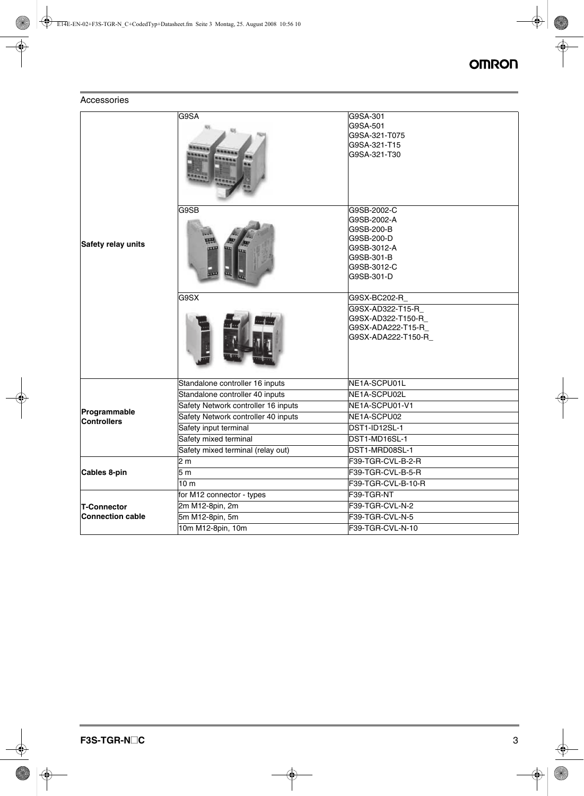#### Accessories

|                         | G9SA                                | G9SA-301                      |
|-------------------------|-------------------------------------|-------------------------------|
|                         |                                     | G9SA-501                      |
|                         |                                     | G9SA-321-T075<br>G9SA-321-T15 |
|                         |                                     | G9SA-321-T30                  |
|                         |                                     |                               |
|                         | G9SB                                | G9SB-2002-C                   |
|                         |                                     | G9SB-2002-A                   |
|                         |                                     | G9SB-200-B                    |
| Safety relay units      |                                     | G9SB-200-D                    |
|                         |                                     | G9SB-3012-A                   |
|                         |                                     | G9SB-301-B                    |
|                         |                                     | G9SB-3012-C<br>G9SB-301-D     |
|                         |                                     |                               |
|                         | G9SX                                | G9SX-BC202-R                  |
|                         |                                     | G9SX-AD322-T15-R              |
|                         |                                     | G9SX-AD322-T150-R             |
|                         |                                     | G9SX-ADA222-T15-R             |
|                         |                                     | G9SX-ADA222-T150-R            |
|                         | Standalone controller 16 inputs     | NE1A-SCPU01L                  |
|                         | Standalone controller 40 inputs     | NE1A-SCPU02L                  |
| Programmable            | Safety Network controller 16 inputs | NE1A-SCPU01-V1                |
| <b>Controllers</b>      | Safety Network controller 40 inputs | NE1A-SCPU02                   |
|                         | Safety input terminal               | DST1-ID12SL-1                 |
|                         | Safety mixed terminal               | DST1-MD16SL-1                 |
|                         | Safety mixed terminal (relay out)   | DST1-MRD08SL-1                |
|                         | 2 <sub>m</sub>                      | F39-TGR-CVL-B-2-R             |
| Cables 8-pin            | 5 <sub>m</sub>                      | F39-TGR-CVL-B-5-R             |
|                         | 10 <sub>m</sub>                     | F39-TGR-CVL-B-10-R            |
|                         | for M12 connector - types           | F39-TGR-NT                    |
| <b>T-Connector</b>      | 2m M12-8pin, 2m                     | F39-TGR-CVL-N-2               |
| <b>Connection cable</b> | 5m M12-8pin, 5m                     | F39-TGR-CVL-N-5               |
|                         | 10m M12-8pin, 10m                   | F39-TGR-CVL-N-10              |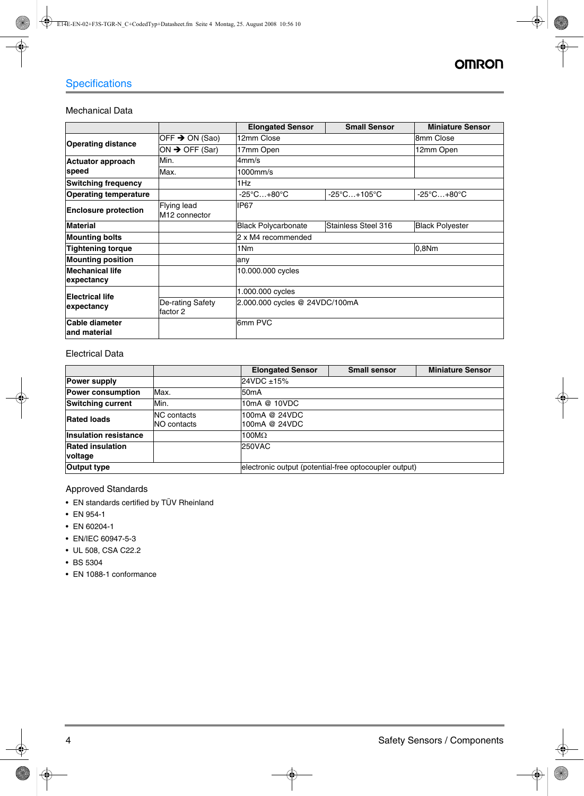## **Specifications**

#### Mechanical Data

|                                      |                                                                 | <b>Elongated Sensor</b>         | <b>Small Sensor</b>              | <b>Miniature Sensor</b>         |  |
|--------------------------------------|-----------------------------------------------------------------|---------------------------------|----------------------------------|---------------------------------|--|
| <b>Operating distance</b>            | OFF $\rightarrow$ ON (Sao)                                      | 12mm Close                      |                                  | 8mm Close                       |  |
|                                      | ON $\rightarrow$ OFF (Sar)                                      | 17mm Open                       |                                  | 12mm Open                       |  |
| <b>Actuator approach</b>             | Min.                                                            | 4mm/s                           |                                  |                                 |  |
| speed                                | Max.                                                            | 1000mm/s                        |                                  |                                 |  |
| <b>Switching frequency</b>           |                                                                 | 1Hz                             |                                  |                                 |  |
| <b>Operating temperature</b>         |                                                                 | $-25^{\circ}$ C $+80^{\circ}$ C | $-25^{\circ}$ C $+105^{\circ}$ C | $-25^{\circ}$ C $+80^{\circ}$ C |  |
| <b>Enclosure protection</b>          | Flying lead<br>M <sub>12</sub> connector                        | IP67                            |                                  |                                 |  |
| <b>Material</b>                      |                                                                 | <b>Black Polycarbonate</b>      | Stainless Steel 316              | <b>Black Polvester</b>          |  |
| <b>Mounting bolts</b>                |                                                                 | 2 x M4 recommended              |                                  |                                 |  |
| <b>Tightening torque</b>             |                                                                 | 1Nm<br>0,8Nm                    |                                  |                                 |  |
| <b>Mounting position</b>             |                                                                 | any                             |                                  |                                 |  |
| <b>Mechanical life</b><br>expectancy |                                                                 | 10.000.000 cycles               |                                  |                                 |  |
| <b>Electrical life</b>               |                                                                 | 1.000.000 cycles                |                                  |                                 |  |
| expectancy                           | 2.000.000 cycles @ 24VDC/100mA<br>De-rating Safety<br>lfactor 2 |                                 |                                  |                                 |  |
| Cable diameter<br>land material      |                                                                 | 6mm PVC                         |                                  |                                 |  |

#### Electrical Data

|                                           |                                   | <b>Elongated Sensor</b>                               | <b>Small sensor</b> | <b>Miniature Sensor</b> |  |
|-------------------------------------------|-----------------------------------|-------------------------------------------------------|---------------------|-------------------------|--|
| <b>Power supply</b>                       |                                   | 24VDC ±15%                                            |                     |                         |  |
| <b>Power consumption</b>                  | Max.                              | 50 <sub>m</sub> A                                     |                     |                         |  |
| <b>Switching current</b>                  | Min.                              | 10mA @ 10VDC                                          |                     |                         |  |
| <b>Rated loads</b>                        | <b>NC</b> contacts<br>NO contacts | 100mA @ 24VDC<br>100mA @ 24VDC                        |                     |                         |  |
| <b>Insulation resistance</b>              |                                   | 100 $M\Omega$                                         |                     |                         |  |
| <b>Rated insulation</b><br><b>voltage</b> |                                   | <b>250VAC</b>                                         |                     |                         |  |
| <b>Output type</b>                        |                                   | electronic output (potential-free optocoupler output) |                     |                         |  |

Approved Standards

- EN standards certified by TÜV Rheinland
- EN 954-1
- EN 60204-1
- EN/IEC 60947-5-3
- UL 508, CSA C22.2
- BS 5304
- EN 1088-1 conformance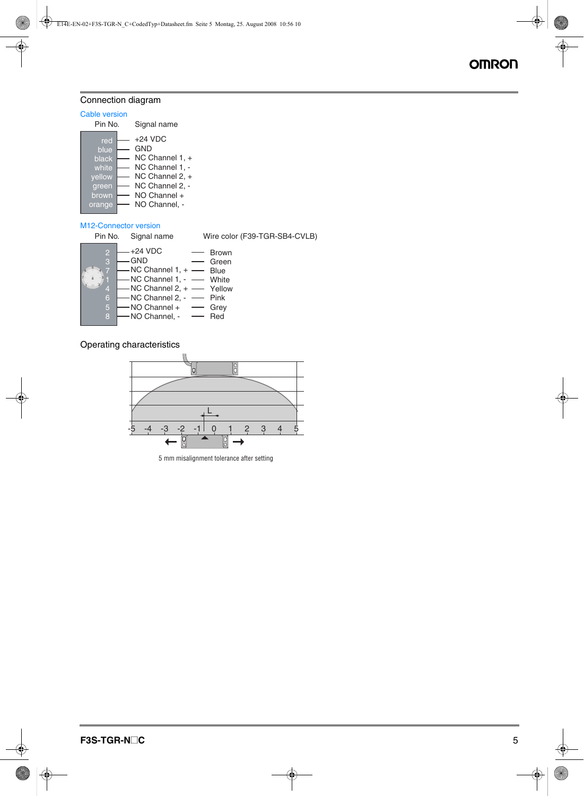#### Connection diagram

#### Cable version

| Pin No.                                                             |  | Signal name                                                                                                                   |
|---------------------------------------------------------------------|--|-------------------------------------------------------------------------------------------------------------------------------|
| red<br>blue<br>black<br>white<br>vellow<br>green<br>brown<br>orange |  | $+24$ VDC<br>GND<br>NC Channel 1, +<br>NC Channel 1, -<br>NC Channel 2, +<br>NC Channel 2, -<br>NO Channel +<br>NO Channel, - |
|                                                                     |  |                                                                                                                               |

#### M12-Connector version

|                               | Pin No. Signal name                                                                                                                                                                             | Wire color (F39-TGR-SB4-CVLB) |
|-------------------------------|-------------------------------------------------------------------------------------------------------------------------------------------------------------------------------------------------|-------------------------------|
| 3<br>6<br>$\overline{5}$<br>8 | $+24$ VDC<br>GND<br>$-$ NC Channel 1, $+$ $-$ Blue<br>-NC Channel 1, - - White<br>$-NC$ Channel 2, $+$ - Yellow<br>-NC Channel 2, - - Pink<br>$-$ NO Channel + $-$ Grey<br>$-$ NO Channel, $ -$ | <b>Brown</b><br>Green<br>Red  |
|                               |                                                                                                                                                                                                 |                               |

#### Operating characteristics



5 mm misalignment tolerance after setting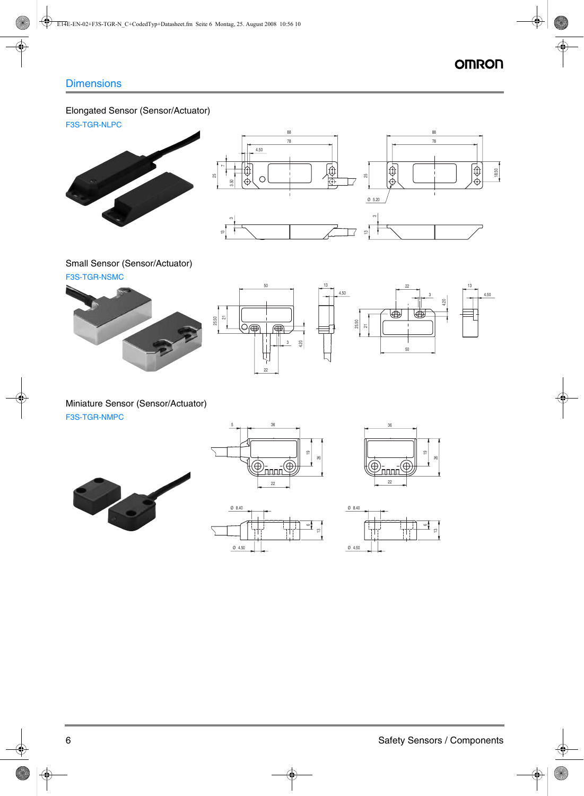88

#### Elongated Sensor (Sensor/Actuator)

F3S-TGR-NLPC





## Small Sensor (Sensor/Actuator)





#### Miniature Sensor (Sensor/Actuator) F3S-TGR-NMPC





88





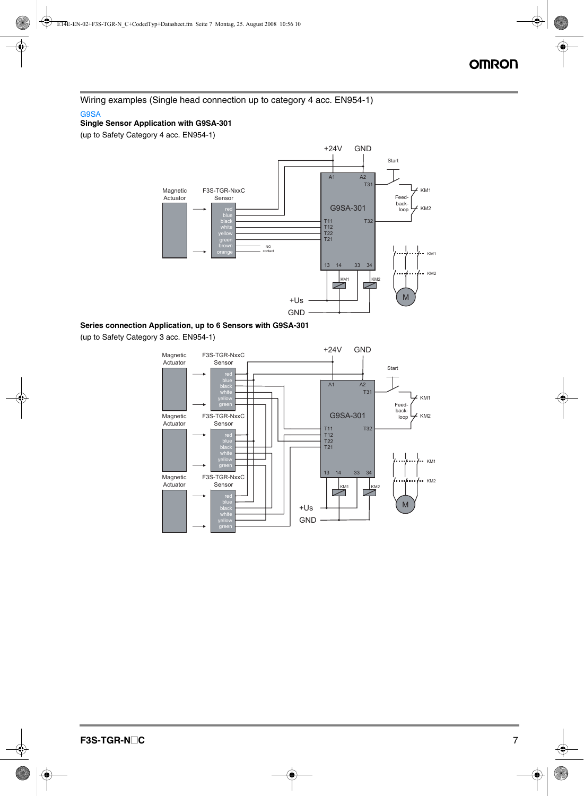Wiring examples (Single head connection up to category 4 acc. EN954-1) G9SA

#### **Single Sensor Application with G9SA-301**

(up to Safety Category 4 acc. EN954-1)



#### **Series connection Application, up to 6 Sensors with G9SA-301**

(up to Safety Category 3 acc. EN954-1)

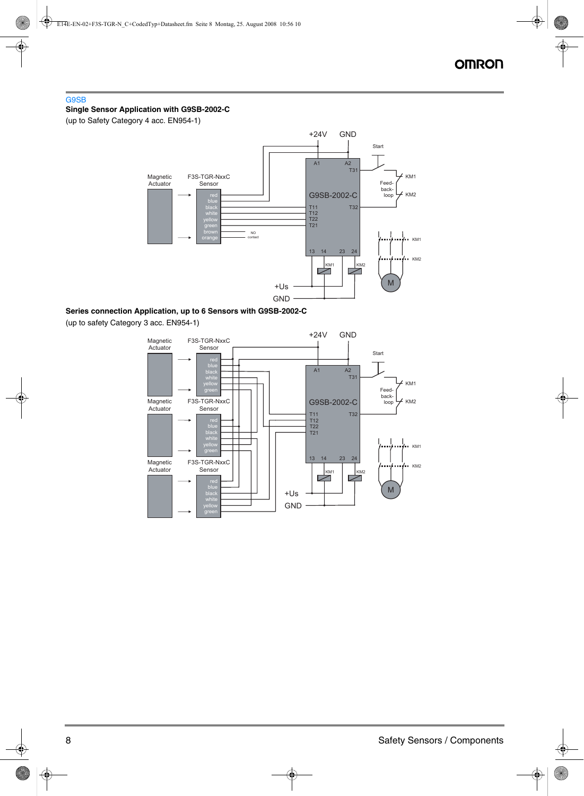#### G9SB

#### **Single Sensor Application with G9SB-2002-C**

(up to Safety Category 4 acc. EN954-1)



#### **Series connection Application, up to 6 Sensors with G9SB-2002-C**

(up to safety Category 3 acc. EN954-1)

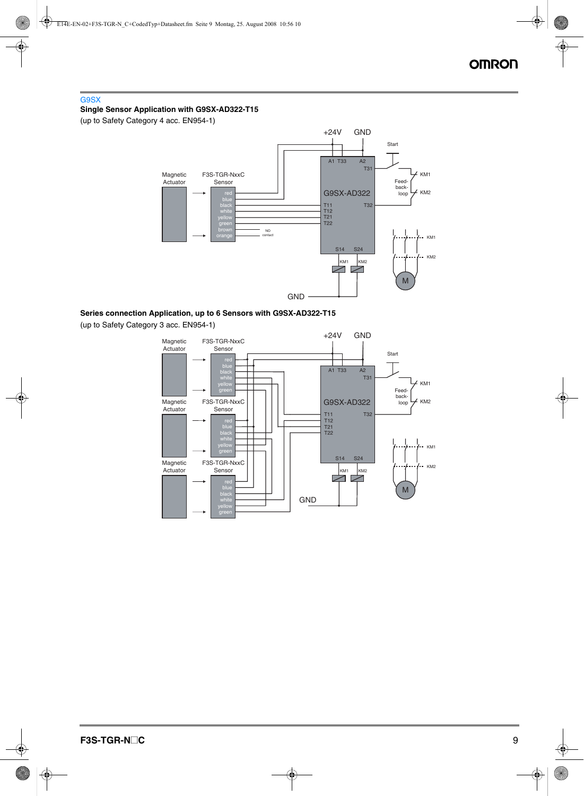#### G9SX **Single Sensor Application with G9SX-AD322-T15**

(up to Safety Category 4 acc. EN954-1)



**Series connection Application, up to 6 Sensors with G9SX-AD322-T15**

(up to Safety Category 3 acc. EN954-1)

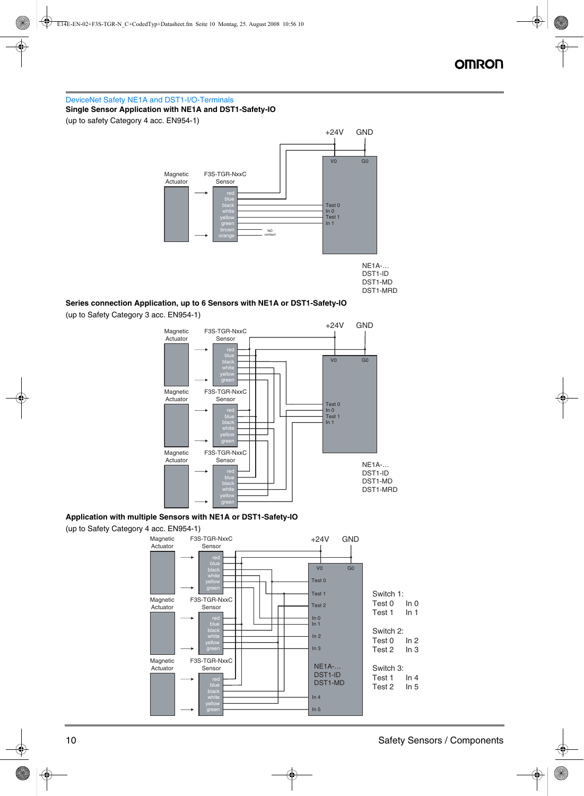DeviceNet Safety NE1A and DST1-I/O-Terminals **Single Sensor Application with NE1A and DST1-Safety-IO** (up to safety Category 4 acc. EN954-1)



#### **Series connection Application, up to 6 Sensors with NE1A or DST1-Safety-IO**

(up to Safety Category 3 acc. EN954-1)



#### **Application with multiple Sensors with NE1A or DST1-Safety-IO**



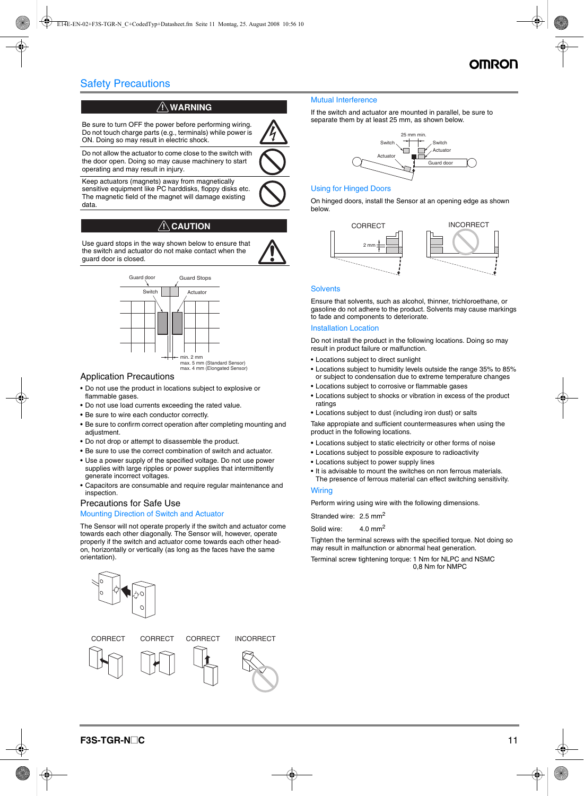### Safety Precautions

#### $\left\langle \mathsf{N}\right\rangle$  warning

Be sure to turn OFF the power before performing wiring. Do not touch charge parts (e.g., terminals) while power is ON. Doing so may result in electric shock.

Do not allow the actuator to come close to the switch with the door open. Doing so may cause machinery to start operating and may result in injury.

Keep actuators (magnets) away from magnetically sensitive equipment like PC harddisks, floppy disks etc. The magnetic field of the magnet will damage existing data.

#### $\land$  CAUTION

Use guard stops in the way shown below to ensure that the switch and actuator do not make contact when the guard door is closed.



#### Application Precautions

- Do not use the product in locations subject to explosive or flammable gases.
- Do not use load currents exceeding the rated value.
- Be sure to wire each conductor correctly.
- Be sure to confirm correct operation after completing mounting and adjustment.
- Do not drop or attempt to disassemble the product.
- Be sure to use the correct combination of switch and actuator.
- Use a power supply of the specified voltage. Do not use power supplies with large ripples or power supplies that intermittently generate incorrect voltages.
- Capacitors are consumable and require regular maintenance and inspection.

#### Precautions for Safe Use

#### Mounting Direction of Switch and Actuator

The Sensor will not operate properly if the switch and actuator come towards each other diagonally. The Sensor will, however, operate properly if the switch and actuator come towards each other headon, horizontally or vertically (as long as the faces have the same orientation).



#### Mutual Interference

If the switch and actuator are mounted in parallel, be sure to separate them by at least 25 mm, as shown below.



#### Using for Hinged Doors

On hinged doors, install the Sensor at an opening edge as shown below.



#### **Solvents**

Ensure that solvents, such as alcohol, thinner, trichloroethane, or gasoline do not adhere to the product. Solvents may cause markings to fade and components to deteriorate.

#### Installation Location

Do not install the product in the following locations. Doing so may result in product failure or malfunction.

- Locations subject to direct sunlight
- Locations subject to humidity levels outside the range 35% to 85% or subject to condensation due to extreme temperature changes
- Locations subject to corrosive or flammable gases
- Locations subject to shocks or vibration in excess of the product ratings
- Locations subject to dust (including iron dust) or salts

Take appropiate and sufficient countermeasures when using the product in the following locations.

- Locations subject to static electricity or other forms of noise
- Locations subject to possible exposure to radioactivity
- Locations subject to power supply lines
- It is advisable to mount the switches on non ferrous materials. The presence of ferrous material can effect switching sensitivity.

**Wiring** 

Perform wiring using wire with the following dimensions.

Stranded wire: 2.5 mm<sup>2</sup>

Solid wire: 4.0 mm<sup>2</sup>

Tighten the terminal screws with the specified torque. Not doing so may result in malfunction or abnormal heat generation.

Terminal screw tightening torque: 1 Nm for NLPC and NSMC 0,8 Nm for NMPC